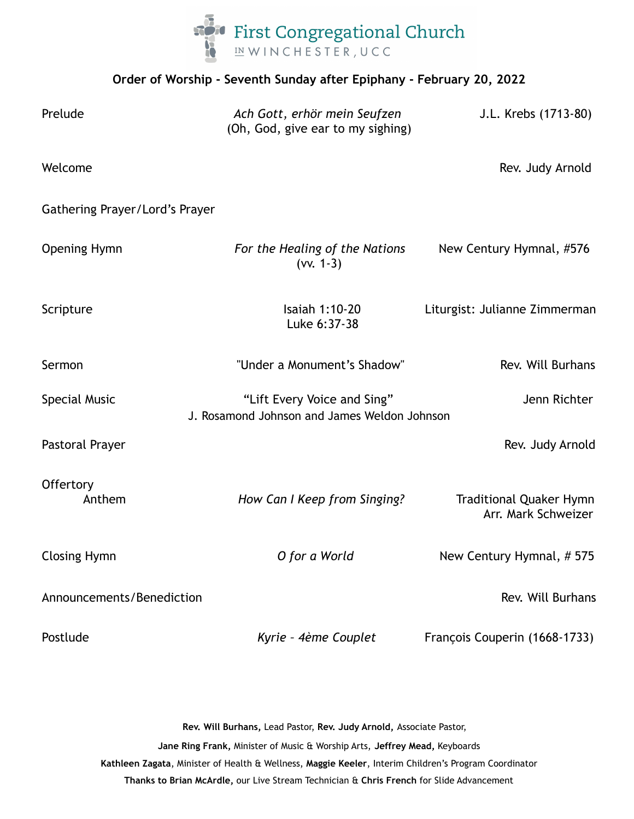

## **Order of Worship - Seventh Sunday after Epiphany - February 20, 2022**

| Prelude                        | Ach Gott, erhör mein Seufzen<br>(Oh, God, give ear to my sighing)           | J.L. Krebs (1713-80)                                  |
|--------------------------------|-----------------------------------------------------------------------------|-------------------------------------------------------|
| Welcome                        |                                                                             | Rev. Judy Arnold                                      |
| Gathering Prayer/Lord's Prayer |                                                                             |                                                       |
| <b>Opening Hymn</b>            | For the Healing of the Nations<br>$(vv. 1-3)$                               | New Century Hymnal, #576                              |
| Scripture                      | Isaiah 1:10-20<br>Luke 6:37-38                                              | Liturgist: Julianne Zimmerman                         |
| Sermon                         | "Under a Monument's Shadow"                                                 | Rev. Will Burhans                                     |
| <b>Special Music</b>           | "Lift Every Voice and Sing"<br>J. Rosamond Johnson and James Weldon Johnson | Jenn Richter                                          |
| Pastoral Prayer                |                                                                             | Rev. Judy Arnold                                      |
| Offertory<br>Anthem            | How Can I Keep from Singing?                                                | <b>Traditional Quaker Hymn</b><br>Arr. Mark Schweizer |
| <b>Closing Hymn</b>            | O for a World                                                               | New Century Hymnal, #575                              |
| Announcements/Benediction      |                                                                             | Rev. Will Burhans                                     |
| Postlude                       | Kyrie - 4ème Couplet                                                        | François Couperin (1668-1733)                         |

**Rev. Will Burhans,** Lead Pastor, **Rev. Judy Arnold,** Associate Pastor,

**Jane Ring Frank,** Minister of Music & Worship Arts, **Jeffrey Mead,** Keyboards **Kathleen Zagata**, Minister of Health & Wellness, **Maggie Keeler**, Interim Children's Program Coordinator **Thanks to Brian McArdle,** our Live Stream Technician & **Chris French** for Slide Advancement